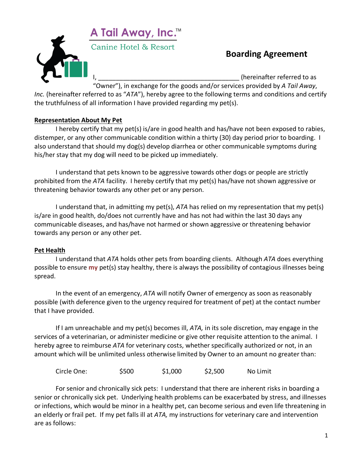

# **Boarding Agreement**

(hereinafter referred to as

"Owner"), in exchange for the goods and/or services provided by *A Tail Away*, *Inc.* (hereinafter referred to as "*ATA*"), hereby agree to the following terms and conditions and certify the truthfulness of all information I have provided regarding my pet(s).

## **Representation About My Pet**

I hereby certify that my pet(s) is/are in good health and has/have not been exposed to rabies, distemper, or any other communicable condition within a thirty (30) day period prior to boarding. I also understand that should my dog(s) develop diarrhea or other communicable symptoms during his/her stay that my dog will need to be picked up immediately.

I understand that pets known to be aggressive towards other dogs or people are strictly prohibited from the *ATA* facility. I hereby certify that my pet(s) has/have not shown aggressive or threatening behavior towards any other pet or any person.

I understand that, in admitting my pet(s), *ATA* has relied on my representation that my pet(s) is/are in good health, do/does not currently have and has not had within the last 30 days any communicable diseases, and has/have not harmed or shown aggressive or threatening behavior towards any person or any other pet.

## **Pet Health**

I understand that *ATA* holds other pets from boarding clients. Although *ATA* does everything possible to ensure **my** pet(s) stay healthy, there is always the possibility of contagious illnesses being spread.

In the event of an emergency, *ATA* will notify Owner of emergency as soon as reasonably possible (with deference given to the urgency required for treatment of pet) at the contact number that I have provided.

If I am unreachable and my pet(s) becomes ill, *ATA,* in its sole discretion, may engage in the services of a veterinarian, or administer medicine or give other requisite attention to the animal. I hereby agree to reimburse *ATA* for veterinary costs, whether specifically authorized or not, in an amount which will be unlimited unless otherwise limited by Owner to an amount no greater than:

Circle One: \$500 \$1,000 \$2,500 No Limit

For senior and chronically sick pets: I understand that there are inherent risks in boarding a senior or chronically sick pet. Underlying health problems can be exacerbated by stress, and illnesses or infections, which would be minor in a healthy pet, can become serious and even life threatening in an elderly or frail pet. If my pet falls ill at *ATA,* my instructions for veterinary care and intervention are as follows: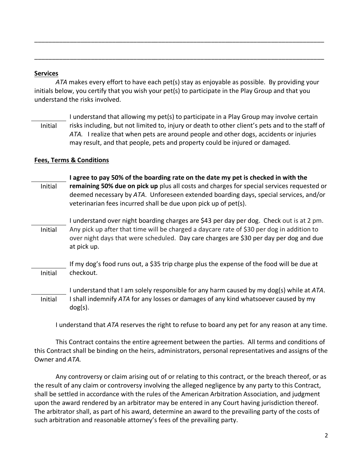#### **Services**

*ATA* makes every effort to have each pet(s) stay as enjoyable as possible. By providing your initials below, you certify that you wish your pet(s) to participate in the Play Group and that you understand the risks involved.

\_\_\_\_\_\_\_\_\_\_\_\_\_\_\_\_\_\_\_\_\_\_\_\_\_\_\_\_\_\_\_\_\_\_\_\_\_\_\_\_\_\_\_\_\_\_\_\_\_\_\_\_\_\_\_\_\_\_\_\_\_\_\_\_\_\_\_\_\_\_\_\_\_\_\_\_\_\_\_\_\_\_

\_\_\_\_\_\_\_\_\_\_\_\_\_\_\_\_\_\_\_\_\_\_\_\_\_\_\_\_\_\_\_\_\_\_\_\_\_\_\_\_\_\_\_\_\_\_\_\_\_\_\_\_\_\_\_\_\_\_\_\_\_\_\_\_\_\_\_\_\_\_\_\_\_\_\_\_\_\_\_\_\_\_

I understand that allowing my pet(s) to participate in a Play Group may involve certain risks including, but not limited to, injury or death to other client's pets and to the staff of *ATA.* I realize that when pets are around people and other dogs, accidents or injuries may result, and that people, pets and property could be injured or damaged. Initial

### **Fees, Terms & Conditions**

| I agree to pay 50% of the boarding rate on the date my pet is checked in with the                                                                                                                                                                    |
|------------------------------------------------------------------------------------------------------------------------------------------------------------------------------------------------------------------------------------------------------|
| remaining 50% due on pick up plus all costs and charges for special services requested or<br>deemed necessary by ATA. Unforeseen extended boarding days, special services, and/or<br>veterinarian fees incurred shall be due upon pick up of pet(s). |
| I understand over night boarding charges are \$43 per day per dog. Check out is at 2 pm.                                                                                                                                                             |
| Any pick up after that time will be charged a daycare rate of \$30 per dog in addition to<br>over night days that were scheduled. Day care charges are \$30 per day per dog and due<br>at pick up.                                                   |
| If my dog's food runs out, a \$35 trip charge plus the expense of the food will be due at                                                                                                                                                            |
| checkout.                                                                                                                                                                                                                                            |
| I understand that I am solely responsible for any harm caused by my dog(s) while at ATA.                                                                                                                                                             |
| I shall indemnify ATA for any losses or damages of any kind whatsoever caused by my<br>$dog(s)$ .                                                                                                                                                    |
|                                                                                                                                                                                                                                                      |

I understand that *ATA* reserves the right to refuse to board any pet for any reason at any time.

This Contract contains the entire agreement between the parties. All terms and conditions of this Contract shall be binding on the heirs, administrators, personal representatives and assigns of the Owner and *ATA.*

Any controversy or claim arising out of or relating to this contract, or the breach thereof, or as the result of any claim or controversy involving the alleged negligence by any party to this Contract, shall be settled in accordance with the rules of the American Arbitration Association, and judgment upon the award rendered by an arbitrator may be entered in any Court having jurisdiction thereof. The arbitrator shall, as part of his award, determine an award to the prevailing party of the costs of such arbitration and reasonable attorney's fees of the prevailing party.